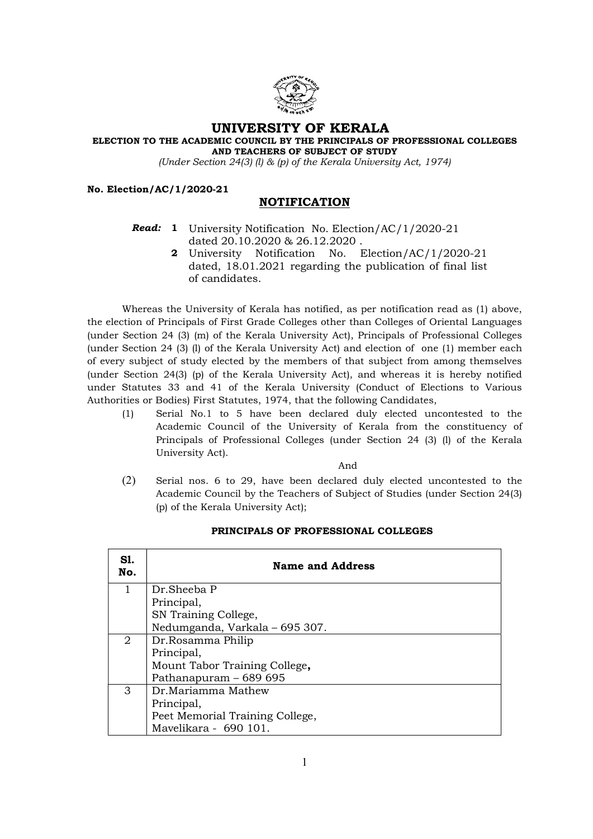

## UNIVERSITY OF KERALA

ELECTION TO THE ACADEMIC COUNCIL BY THE PRINCIPALS OF PROFESSIONAL COLLEGES AND TEACHERS OF SUBJECT OF STUDY

(Under Section 24(3) (l) & (p) of the Kerala University Act, 1974)

No. Election/AC/1/2020-21

# NOTIFICATION

### **Read: 1** University Notification No. Election/AC/1/2020-21 dated 20.10.2020 & 26.12.2020 .

2 University Notification No. Election/AC/1/2020-21 dated, 18.01.2021 regarding the publication of final list of candidates.

Whereas the University of Kerala has notified, as per notification read as (1) above, the election of Principals of First Grade Colleges other than Colleges of Oriental Languages (under Section 24 (3) (m) of the Kerala University Act), Principals of Professional Colleges (under Section 24 (3) (l) of the Kerala University Act) and election of one (1) member each of every subject of study elected by the members of that subject from among themselves (under Section 24(3) (p) of the Kerala University Act), and whereas it is hereby notified under Statutes 33 and 41 of the Kerala University (Conduct of Elections to Various Authorities or Bodies) First Statutes, 1974, that the following Candidates,

(1) Serial No.1 to 5 have been declared duly elected uncontested to the Academic Council of the University of Kerala from the constituency of Principals of Professional Colleges (under Section 24 (3) (l) of the Kerala University Act).

And

(2) Serial nos. 6 to 29, have been declared duly elected uncontested to the Academic Council by the Teachers of Subject of Studies (under Section 24(3) (p) of the Kerala University Act);

| S1.<br>No. | <b>Name and Address</b>         |
|------------|---------------------------------|
|            | Dr.Sheeba P                     |
|            | Principal,                      |
|            | SN Training College,            |
|            | Nedumganda, Varkala - 695 307.  |
| 2          | Dr.Rosamma Philip               |
|            | Principal,                      |
|            | Mount Tabor Training College,   |
|            | Pathanapuram - 689 695          |
| 3          | Dr.Mariamma Mathew              |
|            | Principal,                      |
|            | Peet Memorial Training College, |
|            | Mavelikara - 690 101.           |

### PRINCIPALS OF PROFESSIONAL COLLEGES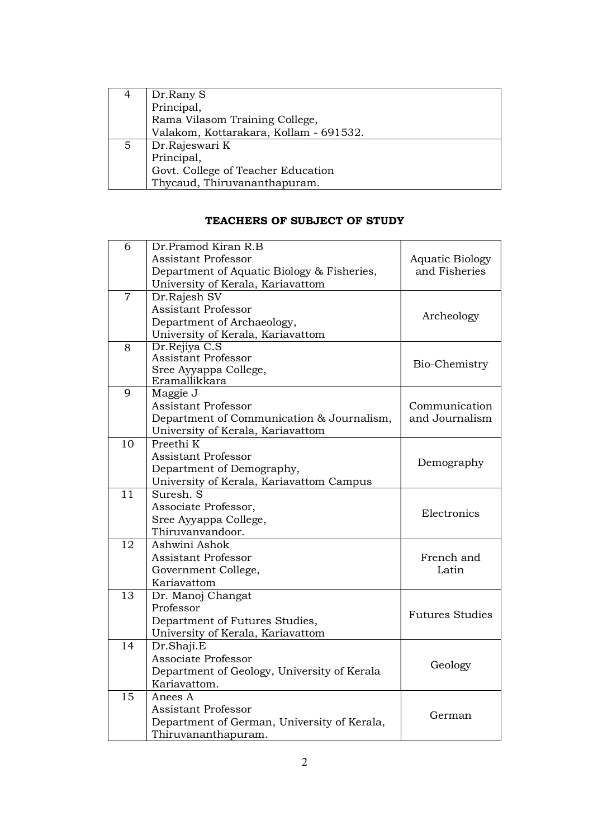|    | Dr.Rany S                              |
|----|----------------------------------------|
|    | Principal,                             |
|    | Rama Vilasom Training College,         |
|    | Valakom, Kottarakara, Kollam - 691532. |
| 5. | Dr.Rajeswari K                         |
|    | Principal,                             |
|    | Govt. College of Teacher Education     |
|    | Thycaud, Thiruvananthapuram.           |

# TEACHERS OF SUBJECT OF STUDY

| 6              | Dr.Pramod Kiran R.B                            |                        |
|----------------|------------------------------------------------|------------------------|
|                | <b>Assistant Professor</b>                     | <b>Aquatic Biology</b> |
|                | Department of Aquatic Biology & Fisheries,     | and Fisheries          |
|                | University of Kerala, Kariavattom              |                        |
| $\overline{7}$ | Dr.Rajesh SV                                   |                        |
|                | <b>Assistant Professor</b>                     | Archeology             |
|                | Department of Archaeology,                     |                        |
|                | University of Kerala, Kariavattom              |                        |
| 8              | Dr.Rejiya C.S                                  |                        |
|                | <b>Assistant Professor</b>                     | Bio-Chemistry          |
|                | Sree Ayyappa College,                          |                        |
|                | Eramallikkara                                  |                        |
| 9              | Maggie J                                       |                        |
|                | <b>Assistant Professor</b>                     | Communication          |
|                | Department of Communication & Journalism,      | and Journalism         |
| 10             | University of Kerala, Kariavattom<br>Preethi K |                        |
|                |                                                |                        |
|                | <b>Assistant Professor</b>                     | Demography             |
|                | Department of Demography,                      |                        |
| 11             | University of Kerala, Kariavattom Campus       |                        |
|                | Suresh. S                                      |                        |
|                | Associate Professor,                           | Electronics            |
|                | Sree Ayyappa College,                          |                        |
|                | Thiruvanvandoor.                               |                        |
| 12             | Ashwini Ashok                                  |                        |
|                | <b>Assistant Professor</b>                     | French and             |
|                | Government College,                            | Latin                  |
|                | Kariavattom                                    |                        |
| 13             | Dr. Manoj Changat                              |                        |
|                | Professor                                      | <b>Futures Studies</b> |
|                | Department of Futures Studies,                 |                        |
| 14             | University of Kerala, Kariavattom              |                        |
|                | Dr.Shaji.E                                     |                        |
|                | Associate Professor                            | Geology                |
|                | Department of Geology, University of Kerala    |                        |
|                | Kariavattom.                                   |                        |
| 15             | Anees A                                        |                        |
|                | <b>Assistant Professor</b>                     | German                 |
|                | Department of German, University of Kerala,    |                        |
|                | Thiruvananthapuram.                            |                        |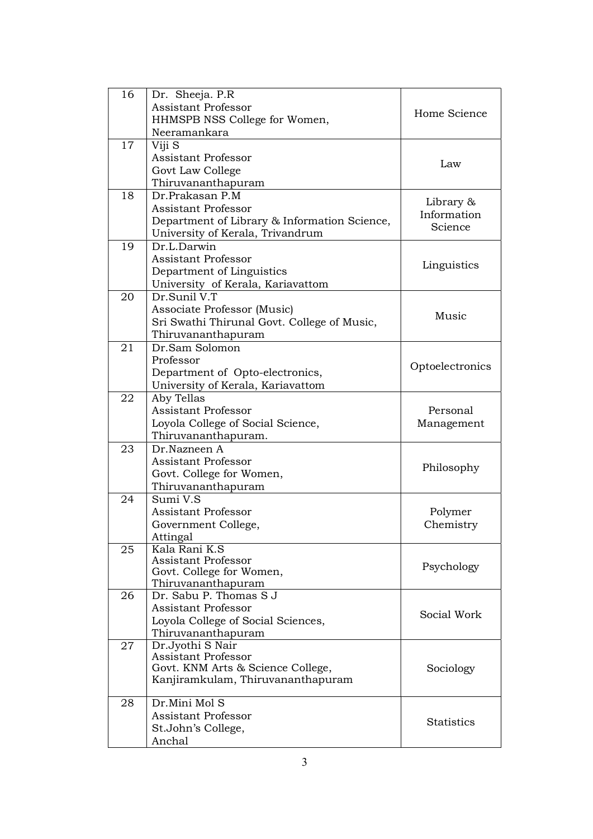| 16 | Dr. Sheeja. P.R                              |                          |
|----|----------------------------------------------|--------------------------|
|    | <b>Assistant Professor</b>                   | Home Science             |
|    | HHMSPB NSS College for Women,                |                          |
|    | Neeramankara                                 |                          |
| 17 | Viji S                                       |                          |
|    | <b>Assistant Professor</b>                   | Law                      |
|    | Govt Law College                             |                          |
|    | Thiruvananthapuram                           |                          |
| 18 | Dr.Prakasan P.M                              |                          |
|    | <b>Assistant Professor</b>                   | Library &<br>Information |
|    | Department of Library & Information Science, |                          |
|    | University of Kerala, Trivandrum             | Science                  |
| 19 | Dr.L.Darwin                                  |                          |
|    | <b>Assistant Professor</b>                   |                          |
|    | Department of Linguistics                    | Linguistics              |
|    | University of Kerala, Kariavattom            |                          |
| 20 | Dr.Sunil V.T                                 |                          |
|    | Associate Professor (Music)                  |                          |
|    | Sri Swathi Thirunal Govt. College of Music,  | Music                    |
|    | Thiruvananthapuram                           |                          |
| 21 | Dr.Sam Solomon                               |                          |
|    | Professor                                    |                          |
|    | Department of Opto-electronics,              | Optoelectronics          |
|    | University of Kerala, Kariavattom            |                          |
| 22 | Aby Tellas                                   |                          |
|    | <b>Assistant Professor</b>                   | Personal                 |
|    | Loyola College of Social Science,            | Management               |
|    | Thiruvananthapuram.                          |                          |
| 23 | Dr.Nazneen A                                 |                          |
|    | <b>Assistant Professor</b>                   |                          |
|    | Govt. College for Women,                     | Philosophy               |
|    | Thiruvananthapuram                           |                          |
| 24 | Sumi V.S                                     |                          |
|    | <b>Assistant Professor</b>                   | Polymer                  |
|    | Government College,                          | Chemistry                |
|    | Attingal                                     |                          |
| 25 | Kala Rani K.S                                |                          |
|    | <b>Assistant Professor</b>                   |                          |
|    | Govt. College for Women,                     | Psychology               |
|    | Thiruvananthapuram                           |                          |
| 26 | Dr. Sabu P. Thomas S J                       |                          |
|    | <b>Assistant Professor</b>                   |                          |
|    | Loyola College of Social Sciences,           | Social Work              |
|    | Thiruvananthapuram                           |                          |
| 27 | Dr.Jyothi S Nair                             |                          |
|    | <b>Assistant Professor</b>                   |                          |
|    | Govt. KNM Arts & Science College,            | Sociology                |
|    | Kanjiramkulam, Thiruvananthapuram            |                          |
| 28 | Dr.Mini Mol S                                |                          |
|    | <b>Assistant Professor</b>                   |                          |
|    | St.John's College,                           | <b>Statistics</b>        |
|    | Anchal                                       |                          |
|    |                                              |                          |